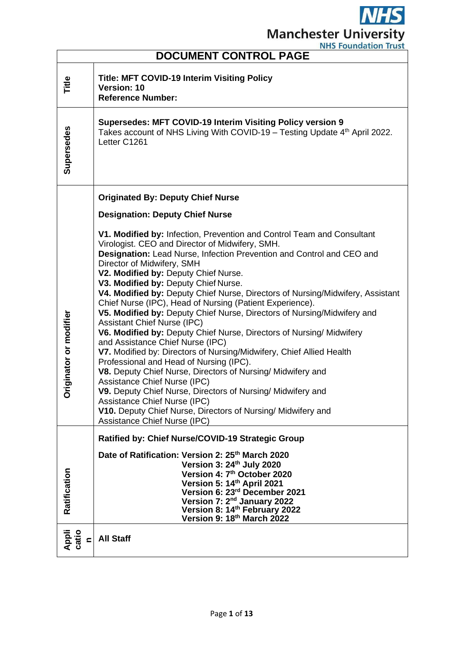$\overline{\bm S}$ M **Manchester University** 

| <b>NHS FOUNDATION HUST</b><br><b>DOCUMENT CONTROL PAGE</b> |                                                                                                                                                                                                                                                                                                                                                                                                                                                                                                                                                                                                                                                                                                                                                                                                                                                                                                                                                                                                                                                                                                                     |  |  |
|------------------------------------------------------------|---------------------------------------------------------------------------------------------------------------------------------------------------------------------------------------------------------------------------------------------------------------------------------------------------------------------------------------------------------------------------------------------------------------------------------------------------------------------------------------------------------------------------------------------------------------------------------------------------------------------------------------------------------------------------------------------------------------------------------------------------------------------------------------------------------------------------------------------------------------------------------------------------------------------------------------------------------------------------------------------------------------------------------------------------------------------------------------------------------------------|--|--|
| Title                                                      | <b>Title: MFT COVID-19 Interim Visiting Policy</b><br>Version: 10<br><b>Reference Number:</b>                                                                                                                                                                                                                                                                                                                                                                                                                                                                                                                                                                                                                                                                                                                                                                                                                                                                                                                                                                                                                       |  |  |
| Supersedes                                                 | Supersedes: MFT COVID-19 Interim Visiting Policy version 9<br>Takes account of NHS Living With COVID-19 - Testing Update 4 <sup>th</sup> April 2022.<br>Letter C1261                                                                                                                                                                                                                                                                                                                                                                                                                                                                                                                                                                                                                                                                                                                                                                                                                                                                                                                                                |  |  |
|                                                            | <b>Originated By: Deputy Chief Nurse</b>                                                                                                                                                                                                                                                                                                                                                                                                                                                                                                                                                                                                                                                                                                                                                                                                                                                                                                                                                                                                                                                                            |  |  |
|                                                            | <b>Designation: Deputy Chief Nurse</b>                                                                                                                                                                                                                                                                                                                                                                                                                                                                                                                                                                                                                                                                                                                                                                                                                                                                                                                                                                                                                                                                              |  |  |
| Originator or modifier                                     | V1. Modified by: Infection, Prevention and Control Team and Consultant<br>Virologist. CEO and Director of Midwifery, SMH.<br>Designation: Lead Nurse, Infection Prevention and Control and CEO and<br>Director of Midwifery, SMH<br>V2. Modified by: Deputy Chief Nurse.<br>V3. Modified by: Deputy Chief Nurse.<br>V4. Modified by: Deputy Chief Nurse, Directors of Nursing/Midwifery, Assistant<br>Chief Nurse (IPC), Head of Nursing (Patient Experience).<br>V5. Modified by: Deputy Chief Nurse, Directors of Nursing/Midwifery and<br><b>Assistant Chief Nurse (IPC)</b><br>V6. Modified by: Deputy Chief Nurse, Directors of Nursing/ Midwifery<br>and Assistance Chief Nurse (IPC)<br>V7. Modified by: Directors of Nursing/Midwifery, Chief Allied Health<br>Professional and Head of Nursing (IPC).<br>V8. Deputy Chief Nurse, Directors of Nursing/ Midwifery and<br>Assistance Chief Nurse (IPC)<br>V9. Deputy Chief Nurse, Directors of Nursing/ Midwifery and<br>Assistance Chief Nurse (IPC)<br>V10. Deputy Chief Nurse, Directors of Nursing/ Midwifery and<br><b>Assistance Chief Nurse (IPC)</b> |  |  |
|                                                            | Ratified by: Chief Nurse/COVID-19 Strategic Group                                                                                                                                                                                                                                                                                                                                                                                                                                                                                                                                                                                                                                                                                                                                                                                                                                                                                                                                                                                                                                                                   |  |  |
| Ratification                                               | Date of Ratification: Version 2: 25 <sup>th</sup> March 2020<br>Version 3: 24th July 2020<br>Version 4: 7 <sup>th</sup> October 2020<br>Version 5: 14th April 2021<br>Version 6: 23rd December 2021<br>Version 7: 2 <sup>nd</sup> January 2022<br>Version 8: 14th February 2022<br>Version 9: 18th March 2022                                                                                                                                                                                                                                                                                                                                                                                                                                                                                                                                                                                                                                                                                                                                                                                                       |  |  |
| Appli<br>catio<br>$\blacksquare$                           | <b>All Staff</b>                                                                                                                                                                                                                                                                                                                                                                                                                                                                                                                                                                                                                                                                                                                                                                                                                                                                                                                                                                                                                                                                                                    |  |  |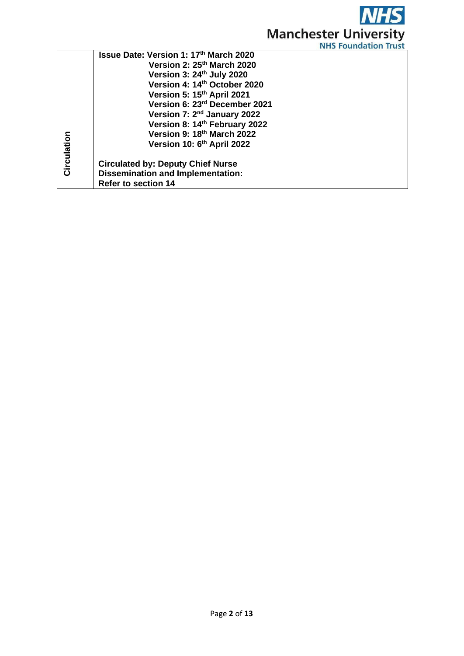

|                                               | 113 - 1941 1940 1911 - 11 93                                                                                                                                                                                                             |
|-----------------------------------------------|------------------------------------------------------------------------------------------------------------------------------------------------------------------------------------------------------------------------------------------|
| <b>Issue Date: Version 1: 17th March 2020</b> |                                                                                                                                                                                                                                          |
| Version 2: 25th March 2020                    |                                                                                                                                                                                                                                          |
| Version 3: 24th July 2020                     |                                                                                                                                                                                                                                          |
| Version 4: 14 <sup>th</sup> October 2020      |                                                                                                                                                                                                                                          |
| Version 5: 15th April 2021                    |                                                                                                                                                                                                                                          |
| Version 6: 23rd December 2021                 |                                                                                                                                                                                                                                          |
|                                               |                                                                                                                                                                                                                                          |
|                                               |                                                                                                                                                                                                                                          |
| Version 9: 18th March 2022                    |                                                                                                                                                                                                                                          |
|                                               |                                                                                                                                                                                                                                          |
|                                               |                                                                                                                                                                                                                                          |
|                                               |                                                                                                                                                                                                                                          |
|                                               |                                                                                                                                                                                                                                          |
|                                               |                                                                                                                                                                                                                                          |
|                                               | Version 7: 2 <sup>nd</sup> January 2022<br>Version 8: 14th February 2022<br>Version 10: 6 <sup>th</sup> April 2022<br><b>Circulated by: Deputy Chief Nurse</b><br><b>Dissemination and Implementation:</b><br><b>Refer to section 14</b> |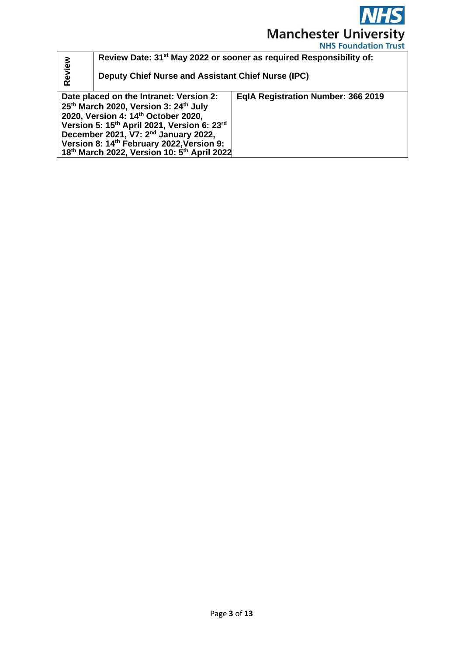

|        | Review Date: 31 <sup>st</sup> May 2022 or sooner as required Responsibility of:<br>Deputy Chief Nurse and Assistant Chief Nurse (IPC)                                                                                                                                                                                              |                                    |  |
|--------|------------------------------------------------------------------------------------------------------------------------------------------------------------------------------------------------------------------------------------------------------------------------------------------------------------------------------------|------------------------------------|--|
| Review |                                                                                                                                                                                                                                                                                                                                    |                                    |  |
|        | Date placed on the Intranet: Version 2:<br>25th March 2020, Version 3: 24th July<br>2020, Version 4: 14th October 2020,<br>Version 5: 15th April 2021, Version 6: 23rd<br>December 2021, V7: 2 <sup>nd</sup> January 2022,<br>Version 8: 14 <sup>th</sup> February 2022, Version 9:<br>18th March 2022, Version 10: 5th April 2022 | EqIA Registration Number: 366 2019 |  |
|        |                                                                                                                                                                                                                                                                                                                                    |                                    |  |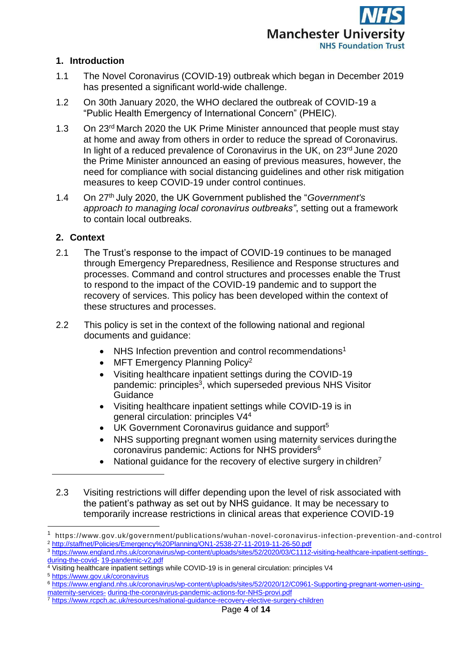

### **1. Introduction**

- 1.1 The Novel Coronavirus (COVID-19) outbreak which began in December 2019 has presented a significant world-wide challenge.
- 1.2 On 30th January 2020, the WHO declared the outbreak of COVID-19 a "Public Health Emergency of International Concern" (PHEIC).
- 1.3 On 23rd March 2020 the UK Prime Minister announced that people must stay at home and away from others in order to reduce the spread of Coronavirus. In light of a reduced prevalence of Coronavirus in the UK, on 23<sup>rd</sup> June 2020 the Prime Minister announced an easing of previous measures, however, the need for compliance with social distancing guidelines and other risk mitigation measures to keep COVID-19 under control continues.
- 1.4 On 27th July 2020, the UK Government published the "*Government's approach to managing local coronavirus outbreaks"*, setting out a framework to contain local outbreaks.

## **2. Context**

- 2.1 The Trust's response to the impact of COVID-19 continues to be managed through Emergency Preparedness, Resilience and Response structures and processes. Command and control structures and processes enable the Trust to respond to the impact of the COVID-19 pandemic and to support the recovery of services. This policy has been developed within the context of these structures and processes.
- 2.2 This policy is set in the context of the following national and regional documents and guidance:
	- NHS Infection prevention and control recommendations<sup>1</sup>
	- MFT Emergency Planning Policy<sup>2</sup>
	- Visiting healthcare inpatient settings during the COVID-19 pandemic: principles<sup>3</sup>, which superseded previous NHS Visitor **Guidance**
	- Visiting healthcare inpatient settings while COVID-19 is in general circulation: principles V4<sup>4</sup>
	- UK Government Coronavirus guidance and support<sup>5</sup>
	- NHS supporting pregnant women using maternity services duringthe coronavirus pandemic: Actions for NHS providers<sup>6</sup>
	- National quidance for the recovery of elective surgery in children<sup>7</sup>
- 2.3 Visiting restrictions will differ depending upon the level of risk associated with the patient's pathway as set out by NHS guidance. It may be necessary to temporarily increase restrictions in clinical areas that experience COVID-19

<sup>1</sup> https://www.gov.uk/government/publications/wuhan -novel-coronavirus-infection-prevention-and-control <sup>2</sup> <http://staffnet/Policies/Emergency%20Planning/ON1-2538-27-11-2019-11-26-50.pdf>

<sup>3</sup> [https://www.england.nhs.uk/coronavirus/wp-content/uploads/sites/52/2020/03/C1112-visiting-healthcare-inpatient-settings-](https://www.england.nhs.uk/coronavirus/wp-content/uploads/sites/52/2020/03/C1112-visiting-healthcare-inpatient-settings-during-the-covid-19-pandemic-v2.pdf)

[during-the-covid-](https://www.england.nhs.uk/coronavirus/wp-content/uploads/sites/52/2020/03/C1112-visiting-healthcare-inpatient-settings-during-the-covid-19-pandemic-v2.pdf) [19-pandemic-v2.pdf](https://www.england.nhs.uk/coronavirus/wp-content/uploads/sites/52/2020/03/C1112-visiting-healthcare-inpatient-settings-during-the-covid-19-pandemic-v2.pdf)

<sup>&</sup>lt;sup>4</sup> Visiting healthcare inpatient settings while COVID-19 is in general circulation: principles V4

<sup>5</sup> <https://www.gov.uk/coronavirus>

<sup>6</sup> [https://www.england.nhs.uk/coronavirus/wp-content/uploads/sites/52/2020/12/C0961-Supporting-pregnant-women-using](https://www.england.nhs.uk/coronavirus/wp-content/uploads/sites/52/2020/12/C0961-Supporting-pregnant-women-using-maternity-services-during-the-coronavirus-pandemic-actions-for-NHS-provi.pdf)[maternity-services-](https://www.england.nhs.uk/coronavirus/wp-content/uploads/sites/52/2020/12/C0961-Supporting-pregnant-women-using-maternity-services-during-the-coronavirus-pandemic-actions-for-NHS-provi.pdf) [during-the-coronavirus-pandemic-actions-for-NHS-provi.pdf](https://www.england.nhs.uk/coronavirus/wp-content/uploads/sites/52/2020/12/C0961-Supporting-pregnant-women-using-maternity-services-during-the-coronavirus-pandemic-actions-for-NHS-provi.pdf)

<sup>7</sup> <https://www.rcpch.ac.uk/resources/national-guidance-recovery-elective-surgery-children>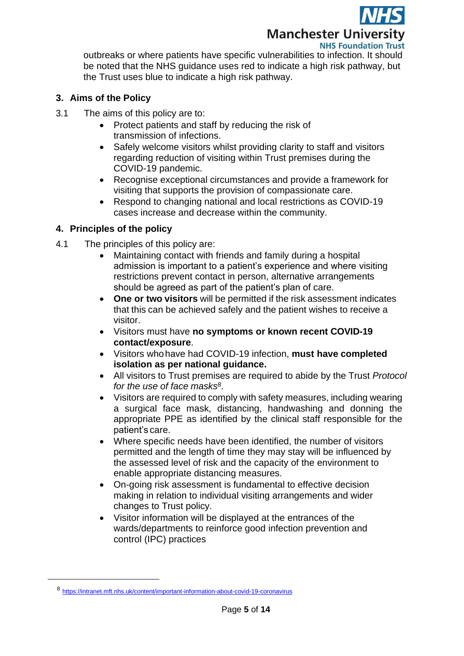

# **Manchester University**

**NHS Foundation Trust** 

outbreaks or where patients have specific vulnerabilities to infection. It should be noted that the NHS guidance uses red to indicate a high risk pathway, but the Trust uses blue to indicate a high risk pathway.

#### **3. Aims of the Policy**

- 3.1 The aims of this policy are to:
	- Protect patients and staff by reducing the risk of transmission of infections.
	- Safely welcome visitors whilst providing clarity to staff and visitors regarding reduction of visiting within Trust premises during the COVID-19 pandemic.
	- Recognise exceptional circumstances and provide a framework for visiting that supports the provision of compassionate care.
	- Respond to changing national and local restrictions as COVID-19 cases increase and decrease within the community.

#### **4. Principles of the policy**

- 4.1 The principles of this policy are:
	- Maintaining contact with friends and family during a hospital admission is important to a patient's experience and where visiting restrictions prevent contact in person, alternative arrangements should be agreed as part of the patient's plan of care.
	- **One or two visitors** will be permitted if the risk assessment indicates that this can be achieved safely and the patient wishes to receive a visitor.
	- Visitors must have **no symptoms or known recent COVID-19 contact/exposure**.
	- Visitors whohave had COVID-19 infection, **must have completed isolation as per national guidance.**
	- All visitors to Trust premises are required to abide by the Trust *Protocol for the use of face masks 8* .
	- Visitors are required to comply with safety measures, including wearing a surgical face mask, distancing, handwashing and donning the appropriate PPE as identified by the clinical staff responsible for the patient's care.
	- Where specific needs have been identified, the number of visitors permitted and the length of time they may stay will be influenced by the assessed level of risk and the capacity of the environment to enable appropriate distancing measures.
	- On-going risk assessment is fundamental to effective decision making in relation to individual visiting arrangements and wider changes to Trust policy.
	- Visitor information will be displayed at the entrances of the wards/departments to reinforce good infection prevention and control (IPC) practices

<sup>8</sup> <https://intranet.mft.nhs.uk/content/important-information-about-covid-19-coronavirus>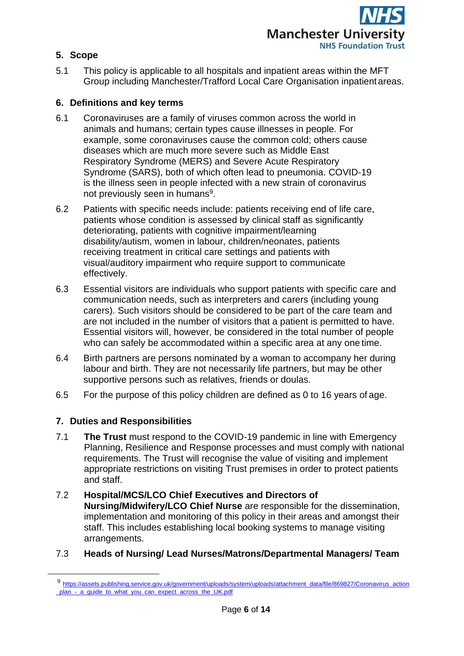

### **5. Scope**

5.1 This policy is applicable to all hospitals and inpatient areas within the MFT Group including Manchester/Trafford Local Care Organisation inpatientareas.

### **6. Definitions and key terms**

- 6.1 Coronaviruses are a family of viruses common across the world in animals and humans; certain types cause illnesses in people. For example, some coronaviruses cause the common cold; others cause diseases which are much more severe such as Middle East Respiratory Syndrome (MERS) and Severe Acute Respiratory Syndrome (SARS), both of which often lead to pneumonia. COVID-19 is the illness seen in people infected with a new strain of coronavirus not previously seen in humans<sup>9</sup>.
- 6.2 Patients with specific needs include: patients receiving end of life care, patients whose condition is assessed by clinical staff as significantly deteriorating, patients with cognitive impairment/learning disability/autism, women in labour, children/neonates, patients receiving treatment in critical care settings and patients with visual/auditory impairment who require support to communicate effectively.
- 6.3 Essential visitors are individuals who support patients with specific care and communication needs, such as interpreters and carers (including young carers). Such visitors should be considered to be part of the care team and are not included in the number of visitors that a patient is permitted to have. Essential visitors will, however, be considered in the total number of people who can safely be accommodated within a specific area at any one time.
- 6.4 Birth partners are persons nominated by a woman to accompany her during labour and birth. They are not necessarily life partners, but may be other supportive persons such as relatives, friends or doulas.
- 6.5 For the purpose of this policy children are defined as 0 to 16 years of age.

### **7. Duties and Responsibilities**

- 7.1 **The Trust** must respond to the COVID-19 pandemic in line with Emergency Planning, Resilience and Response processes and must comply with national requirements. The Trust will recognise the value of visiting and implement appropriate restrictions on visiting Trust premises in order to protect patients and staff.
- 7.2 **Hospital/MCS/LCO Chief Executives and Directors of Nursing/Midwifery/LCO Chief Nurse** are responsible for the dissemination, implementation and monitoring of this policy in their areas and amongst their staff. This includes establishing local booking systems to manage visiting arrangements.

### 7.3 **Heads of Nursing/ Lead Nurses/Matrons/Departmental Managers/ Team**

<sup>9</sup> [https://assets.publishing.service.gov.uk/government/uploads/system/uploads/attachment\\_data/file/869827/Coronavirus\\_action](https://assets.publishing.service.gov.uk/government/uploads/system/uploads/attachment_data/file/869827/Coronavirus_action) plan - a guide to what you can expect across the UK.pdf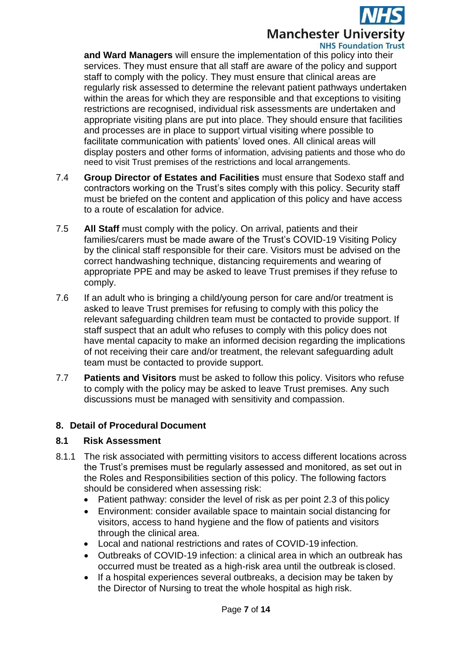

#### **NHS Foundation Trust**

**and Ward Managers** will ensure the implementation of this policy into their services. They must ensure that all staff are aware of the policy and support staff to comply with the policy. They must ensure that clinical areas are regularly risk assessed to determine the relevant patient pathways undertaken within the areas for which they are responsible and that exceptions to visiting restrictions are recognised, individual risk assessments are undertaken and appropriate visiting plans are put into place. They should ensure that facilities and processes are in place to support virtual visiting where possible to facilitate communication with patients' loved ones. All clinical areas will display posters and other forms of information, advising patients and those who do need to visit Trust premises of the restrictions and local arrangements.

- 7.4 **Group Director of Estates and Facilities** must ensure that Sodexo staff and contractors working on the Trust's sites comply with this policy. Security staff must be briefed on the content and application of this policy and have access to a route of escalation for advice.
- 7.5 **All Staff** must comply with the policy. On arrival, patients and their families/carers must be made aware of the Trust's COVID-19 Visiting Policy by the clinical staff responsible for their care. Visitors must be advised on the correct handwashing technique, distancing requirements and wearing of appropriate PPE and may be asked to leave Trust premises if they refuse to comply.
- 7.6 If an adult who is bringing a child/young person for care and/or treatment is asked to leave Trust premises for refusing to comply with this policy the relevant safeguarding children team must be contacted to provide support. If staff suspect that an adult who refuses to comply with this policy does not have mental capacity to make an informed decision regarding the implications of not receiving their care and/or treatment, the relevant safeguarding adult team must be contacted to provide support.
- 7.7 **Patients and Visitors** must be asked to follow this policy. Visitors who refuse to comply with the policy may be asked to leave Trust premises. Any such discussions must be managed with sensitivity and compassion.

#### **8. Detail of Procedural Document**

#### **8.1 Risk Assessment**

- 8.1.1 The risk associated with permitting visitors to access different locations across the Trust's premises must be regularly assessed and monitored, as set out in the Roles and Responsibilities section of this policy. The following factors should be considered when assessing risk:
	- Patient pathway: consider the level of risk as per point 2.3 of this policy
	- Environment: consider available space to maintain social distancing for visitors, access to hand hygiene and the flow of patients and visitors through the clinical area.
	- Local and national restrictions and rates of COVID-19 infection.
	- Outbreaks of COVID-19 infection: a clinical area in which an outbreak has occurred must be treated as a high-risk area until the outbreak is closed.
	- If a hospital experiences several outbreaks, a decision may be taken by the Director of Nursing to treat the whole hospital as high risk.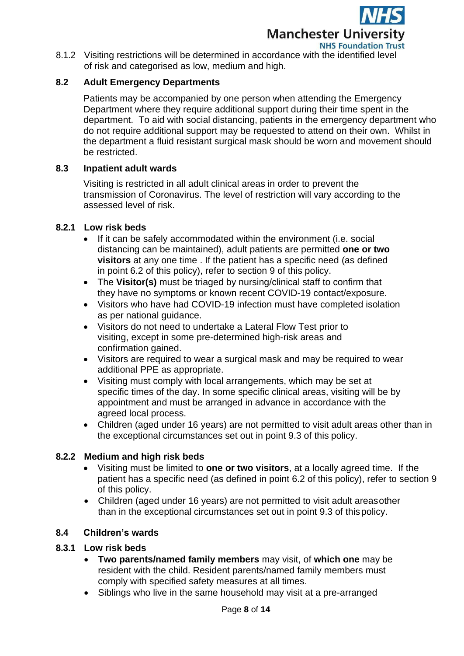

8.1.2 Visiting restrictions will be determined in accordance with the identified level of risk and categorised as low, medium and high.

### **8.2 Adult Emergency Departments**

Patients may be accompanied by one person when attending the Emergency Department where they require additional support during their time spent in the department. To aid with social distancing, patients in the emergency department who do not require additional support may be requested to attend on their own. Whilst in the department a fluid resistant surgical mask should be worn and movement should be restricted.

#### **8.3 Inpatient adult wards**

Visiting is restricted in all adult clinical areas in order to prevent the transmission of Coronavirus. The level of restriction will vary according to the assessed level of risk.

#### **8.2.1 Low risk beds**

- If it can be safely accommodated within the environment (i.e. social distancing can be maintained), adult patients are permitted **one or two visitors** at any one time . If the patient has a specific need (as defined in point 6.2 of this policy), refer to section 9 of this policy.
- The **Visitor(s)** must be triaged by nursing/clinical staff to confirm that they have no symptoms or known recent COVID-19 contact/exposure.
- Visitors who have had COVID-19 infection must have completed isolation as per national guidance.
- Visitors do not need to undertake a Lateral Flow Test prior to visiting, except in some pre-determined high-risk areas and confirmation gained.
- Visitors are required to wear a surgical mask and may be required to wear additional PPE as appropriate.
- Visiting must comply with local arrangements, which may be set at specific times of the day. In some specific clinical areas, visiting will be by appointment and must be arranged in advance in accordance with the agreed local process.
- Children (aged under 16 years) are not permitted to visit adult areas other than in the exceptional circumstances set out in point 9.3 of this policy.

### **8.2.2 Medium and high risk beds**

- Visiting must be limited to **one or two visitors**, at a locally agreed time. If the patient has a specific need (as defined in point 6.2 of this policy), refer to section 9 of this policy.
- Children (aged under 16 years) are not permitted to visit adult areasother than in the exceptional circumstances set out in point 9.3 of thispolicy.

#### **8.4 Children's wards**

#### **8.3.1 Low risk beds**

- **Two parents/named family members** may visit, of **which one** may be resident with the child. Resident parents/named family members must comply with specified safety measures at all times.
- Siblings who live in the same household may visit at a pre-arranged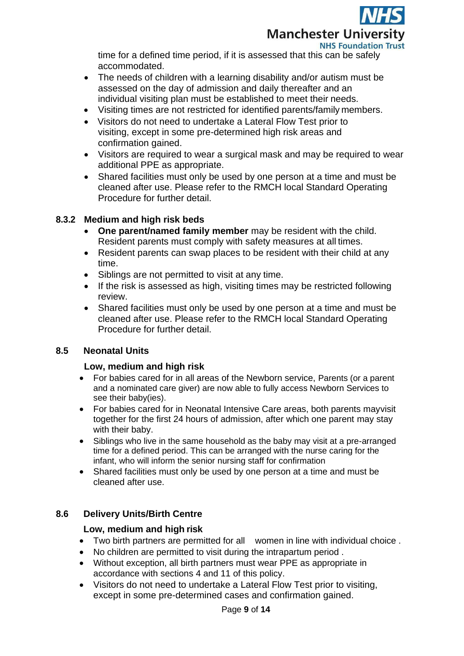**Manchester University NHS Foundation Trust** 

time for a defined time period, if it is assessed that this can be safely accommodated.

- The needs of children with a learning disability and/or autism must be assessed on the day of admission and daily thereafter and an individual visiting plan must be established to meet their needs.
- Visiting times are not restricted for identified parents/family members.
- Visitors do not need to undertake a Lateral Flow Test prior to visiting, except in some pre-determined high risk areas and confirmation gained.
- Visitors are required to wear a surgical mask and may be required to wear additional PPE as appropriate.
- Shared facilities must only be used by one person at a time and must be cleaned after use. Please refer to the RMCH local Standard Operating Procedure for further detail.

## **8.3.2 Medium and high risk beds**

- **One parent/named family member** may be resident with the child. Resident parents must comply with safety measures at all times.
- Resident parents can swap places to be resident with their child at any time.
- Siblings are not permitted to visit at any time.
- If the risk is assessed as high, visiting times may be restricted following review.
- Shared facilities must only be used by one person at a time and must be cleaned after use. Please refer to the RMCH local Standard Operating Procedure for further detail.

# **8.5 Neonatal Units**

### **Low, medium and high risk**

- For babies cared for in all areas of the Newborn service, Parents (or a parent and a nominated care giver) are now able to fully access Newborn Services to see their baby(ies).
- For babies cared for in Neonatal Intensive Care areas, both parents mayvisit together for the first 24 hours of admission, after which one parent may stay with their baby.
- Siblings who live in the same household as the baby may visit at a pre-arranged time for a defined period. This can be arranged with the nurse caring for the infant, who will inform the senior nursing staff for confirmation
- Shared facilities must only be used by one person at a time and must be cleaned after use.

### **8.6 Delivery Units/Birth Centre**

### **Low, medium and high risk**

- Two birth partners are permitted for all women in line with individual choice .
- No children are permitted to visit during the intrapartum period .
- Without exception, all birth partners must wear PPE as appropriate in accordance with sections 4 and 11 of this policy.
- Visitors do not need to undertake a Lateral Flow Test prior to visiting, except in some pre-determined cases and confirmation gained.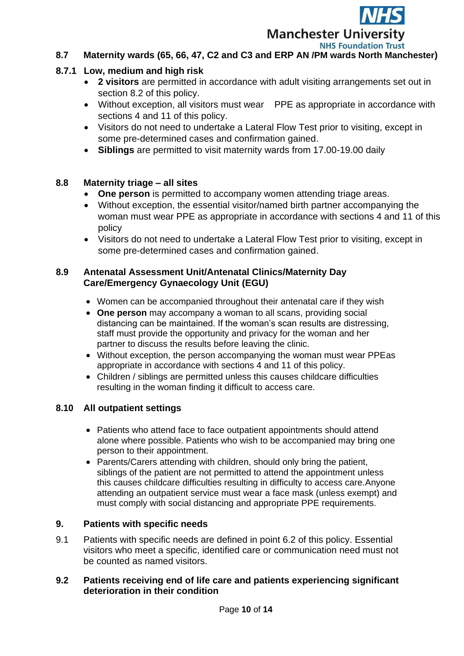

## **8.7 Maternity wards (65, 66, 47, C2 and C3 and ERP AN /PM wards North Manchester)**

#### **8.7.1 Low, medium and high risk**

- **2 visitors** are permitted in accordance with adult visiting arrangements set out in section 8.2 of this policy.
- Without exception, all visitors must wear PPE as appropriate in accordance with sections 4 and 11 of this policy.
- Visitors do not need to undertake a Lateral Flow Test prior to visiting, except in some pre-determined cases and confirmation gained.
- **Siblings** are permitted to visit maternity wards from 17.00-19.00 daily

#### **8.8 Maternity triage – all sites**

- **One person** is permitted to accompany women attending triage areas.
- Without exception, the essential visitor/named birth partner accompanying the woman must wear PPE as appropriate in accordance with sections 4 and 11 of this policy
- Visitors do not need to undertake a Lateral Flow Test prior to visiting, except in some pre-determined cases and confirmation gained.

#### **8.9 Antenatal Assessment Unit/Antenatal Clinics/Maternity Day Care/Emergency Gynaecology Unit (EGU)**

- Women can be accompanied throughout their antenatal care if they wish
- **One person** may accompany a woman to all scans, providing social distancing can be maintained. If the woman's scan results are distressing, staff must provide the opportunity and privacy for the woman and her partner to discuss the results before leaving the clinic.
- Without exception, the person accompanying the woman must wear PPEas appropriate in accordance with sections 4 and 11 of this policy.
- Children / siblings are permitted unless this causes childcare difficulties resulting in the woman finding it difficult to access care.

#### **8.10 All outpatient settings**

- Patients who attend face to face outpatient appointments should attend alone where possible. Patients who wish to be accompanied may bring one person to their appointment.
- Parents/Carers attending with children, should only bring the patient, siblings of the patient are not permitted to attend the appointment unless this causes childcare difficulties resulting in difficulty to access care.Anyone attending an outpatient service must wear a face mask (unless exempt) and must comply with social distancing and appropriate PPE requirements.

#### **9. Patients with specific needs**

9.1 Patients with specific needs are defined in point 6.2 of this policy. Essential visitors who meet a specific, identified care or communication need must not be counted as named visitors.

#### **9.2 Patients receiving end of life care and patients experiencing significant deterioration in their condition**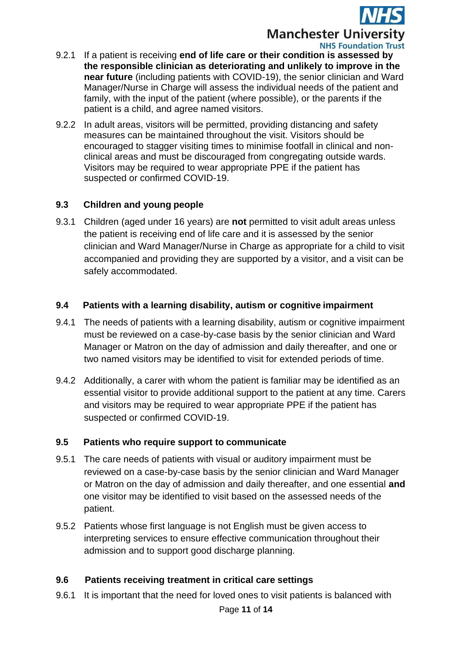

**NHS Foundation Trust** 

- 9.2.1 If a patient is receiving **end of life care or their condition is assessed by the responsible clinician as deteriorating and unlikely to improve in the near future** (including patients with COVID-19), the senior clinician and Ward Manager/Nurse in Charge will assess the individual needs of the patient and family, with the input of the patient (where possible), or the parents if the patient is a child, and agree named visitors.
- 9.2.2 In adult areas, visitors will be permitted, providing distancing and safety measures can be maintained throughout the visit. Visitors should be encouraged to stagger visiting times to minimise footfall in clinical and nonclinical areas and must be discouraged from congregating outside wards. Visitors may be required to wear appropriate PPE if the patient has suspected or confirmed COVID-19.

### **9.3 Children and young people**

9.3.1 Children (aged under 16 years) are **not** permitted to visit adult areas unless the patient is receiving end of life care and it is assessed by the senior clinician and Ward Manager/Nurse in Charge as appropriate for a child to visit accompanied and providing they are supported by a visitor, and a visit can be safely accommodated.

### **9.4 Patients with a learning disability, autism or cognitive impairment**

- 9.4.1 The needs of patients with a learning disability, autism or cognitive impairment must be reviewed on a case-by-case basis by the senior clinician and Ward Manager or Matron on the day of admission and daily thereafter, and one or two named visitors may be identified to visit for extended periods of time.
- 9.4.2 Additionally, a carer with whom the patient is familiar may be identified as an essential visitor to provide additional support to the patient at any time. Carers and visitors may be required to wear appropriate PPE if the patient has suspected or confirmed COVID-19.

### **9.5 Patients who require support to communicate**

- 9.5.1 The care needs of patients with visual or auditory impairment must be reviewed on a case-by-case basis by the senior clinician and Ward Manager or Matron on the day of admission and daily thereafter, and one essential **and**  one visitor may be identified to visit based on the assessed needs of the patient.
- 9.5.2 Patients whose first language is not English must be given access to interpreting services to ensure effective communication throughout their admission and to support good discharge planning.

### **9.6 Patients receiving treatment in critical care settings**

9.6.1 It is important that the need for loved ones to visit patients is balanced with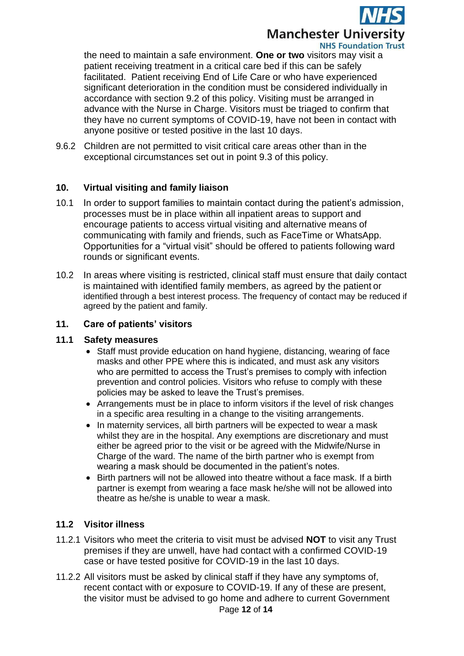

the need to maintain a safe environment. **One or two** visitors may visit a patient receiving treatment in a critical care bed if this can be safely facilitated. Patient receiving End of Life Care or who have experienced significant deterioration in the condition must be considered individually in accordance with section 9.2 of this policy. Visiting must be arranged in advance with the Nurse in Charge. Visitors must be triaged to confirm that they have no current symptoms of COVID-19, have not been in contact with anyone positive or tested positive in the last 10 days.

9.6.2 Children are not permitted to visit critical care areas other than in the exceptional circumstances set out in point 9.3 of this policy.

#### **10. Virtual visiting and family liaison**

- 10.1 In order to support families to maintain contact during the patient's admission, processes must be in place within all inpatient areas to support and encourage patients to access virtual visiting and alternative means of communicating with family and friends, such as FaceTime or WhatsApp. Opportunities for a "virtual visit" should be offered to patients following ward rounds or significant events.
- 10.2 In areas where visiting is restricted, clinical staff must ensure that daily contact is maintained with identified family members, as agreed by the patient or identified through a best interest process. The frequency of contact may be reduced if agreed by the patient and family.

#### **11. Care of patients' visitors**

#### **11.1 Safety measures**

- Staff must provide education on hand hygiene, distancing, wearing of face masks and other PPE where this is indicated, and must ask any visitors who are permitted to access the Trust's premises to comply with infection prevention and control policies. Visitors who refuse to comply with these policies may be asked to leave the Trust's premises.
- Arrangements must be in place to inform visitors if the level of risk changes in a specific area resulting in a change to the visiting arrangements.
- In maternity services, all birth partners will be expected to wear a mask whilst they are in the hospital. Any exemptions are discretionary and must either be agreed prior to the visit or be agreed with the Midwife/Nurse in Charge of the ward. The name of the birth partner who is exempt from wearing a mask should be documented in the patient's notes.
- Birth partners will not be allowed into theatre without a face mask. If a birth partner is exempt from wearing a face mask he/she will not be allowed into theatre as he/she is unable to wear a mask.

### **11.2 Visitor illness**

- 11.2.1 Visitors who meet the criteria to visit must be advised **NOT** to visit any Trust premises if they are unwell, have had contact with a confirmed COVID-19 case or have tested positive for COVID-19 in the last 10 days.
- 11.2.2 All visitors must be asked by clinical staff if they have any symptoms of, recent contact with or exposure to COVID-19. If any of these are present, the visitor must be advised to go home and adhere to current Government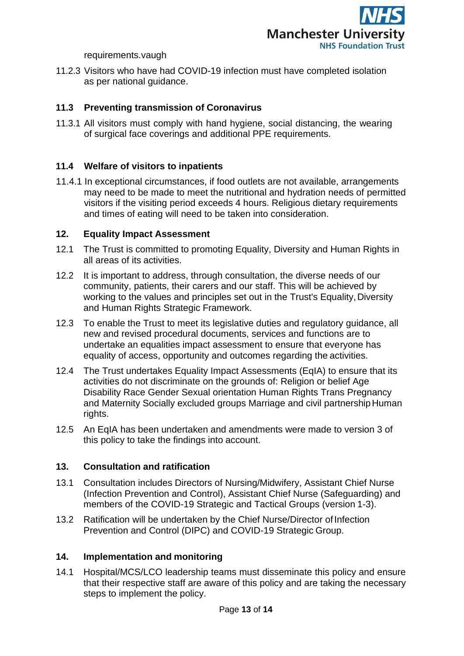

requirements.vaugh

11.2.3 Visitors who have had COVID-19 infection must have completed isolation as per national guidance.

### **11.3 Preventing transmission of Coronavirus**

11.3.1 All visitors must comply with hand hygiene, social distancing, the wearing of surgical face coverings and additional PPE requirements.

### **11.4 Welfare of visitors to inpatients**

11.4.1 In exceptional circumstances, if food outlets are not available, arrangements may need to be made to meet the nutritional and hydration needs of permitted visitors if the visiting period exceeds 4 hours. Religious dietary requirements and times of eating will need to be taken into consideration.

#### **12. Equality Impact Assessment**

- 12.1 The Trust is committed to promoting Equality, Diversity and Human Rights in all areas of its activities.
- 12.2 It is important to address, through consultation, the diverse needs of our community, patients, their carers and our staff. This will be achieved by working to the values and principles set out in the Trust's Equality,Diversity and Human Rights Strategic Framework.
- 12.3 To enable the Trust to meet its legislative duties and regulatory guidance, all new and revised procedural documents, services and functions are to undertake an equalities impact assessment to ensure that everyone has equality of access, opportunity and outcomes regarding the activities.
- 12.4 The Trust undertakes Equality Impact Assessments (EqIA) to ensure that its activities do not discriminate on the grounds of: Religion or belief Age Disability Race Gender Sexual orientation Human Rights Trans Pregnancy and Maternity Socially excluded groups Marriage and civil partnershipHuman rights.
- 12.5 An EqIA has been undertaken and amendments were made to version 3 of this policy to take the findings into account.

### **13. Consultation and ratification**

- 13.1 Consultation includes Directors of Nursing/Midwifery, Assistant Chief Nurse (Infection Prevention and Control), Assistant Chief Nurse (Safeguarding) and members of the COVID-19 Strategic and Tactical Groups (version 1-3).
- 13.2 Ratification will be undertaken by the Chief Nurse/Director of Infection Prevention and Control (DIPC) and COVID-19 Strategic Group.

#### **14. Implementation and monitoring**

14.1 Hospital/MCS/LCO leadership teams must disseminate this policy and ensure that their respective staff are aware of this policy and are taking the necessary steps to implement the policy.